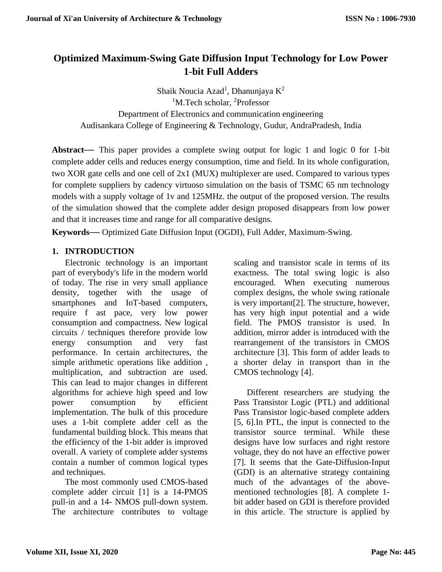## **Optimized Maximum-Swing Gate Diffusion Input Technology for Low Power 1-bit Full Adders**

Shaik Noucia Azad<sup>1</sup>, Dhanunjaya K<sup>2</sup> <sup>1</sup>M.Tech scholar, <sup>2</sup>Professor Department of Electronics and communication engineering Audisankara College of Engineering & Technology, Gudur, AndraPradesh, India

**Abstract—** This paper provides a complete swing output for logic 1 and logic 0 for 1-bit complete adder cells and reduces energy consumption, time and field. In its whole configuration, two XOR gate cells and one cell of 2x1 (MUX) multiplexer are used. Compared to various types for complete suppliers by cadency virtuoso simulation on the basis of TSMC 65 nm technology models with a supply voltage of 1v and 125MHz. the output of the proposed version. The results of the simulation showed that the complete adder design proposed disappears from low power and that it increases time and range for all comparative designs.

**Keywords—** Optimized Gate Diffusion Input (OGDI), Full Adder, Maximum-Swing.

#### **1. INTRODUCTION**

Electronic technology is an important part of everybody's life in the modern world of today. The rise in very small appliance density, together with the usage of smartphones and IoT-based computers, require f ast pace, very low power consumption and compactness. New logical circuits / techniques therefore provide low energy consumption and very fast performance. In certain architectures, the simple arithmetic operations like addition , multiplication, and subtraction are used. This can lead to major changes in different algorithms for achieve high speed and low power consumption by efficient implementation. The bulk of this procedure uses a 1-bit complete adder cell as the fundamental building block. This means that the efficiency of the 1-bit adder is improved overall. A variety of complete adder systems contain a number of common logical types and techniques.

The most commonly used CMOS-based complete adder circuit [1] is a 14-PMOS pull-in and a 14- NMOS pull-down system. The architecture contributes to voltage

scaling and transistor scale in terms of its exactness. The total swing logic is also encouraged. When executing numerous complex designs, the whole swing rationale is very important[2]. The structure, however, has very high input potential and a wide field. The PMOS transistor is used. In addition, mirror adder is introduced with the rearrangement of the transistors in CMOS architecture [3]. This form of adder leads to a shorter delay in transport than in the CMOS technology [4].

Different researchers are studying the Pass Transistor Logic (PTL) and additional Pass Transistor logic-based complete adders [5, 6].In PTL, the input is connected to the transistor source terminal. While these designs have low surfaces and right restore voltage, they do not have an effective power [7]. It seems that the Gate-Diffusion-Input (GDI) is an alternative strategy containing much of the advantages of the abovementioned technologies [8]. A complete 1 bit adder based on GDI is therefore provided in this article. The structure is applied by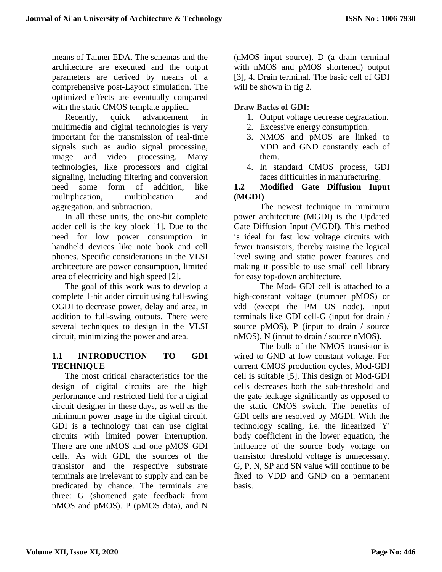means of Tanner EDA. The schemas and the architecture are executed and the output parameters are derived by means of a comprehensive post-Layout simulation. The optimized effects are eventually compared with the static CMOS template applied.

Recently, quick advancement in multimedia and digital technologies is very important for the transmission of real-time signals such as audio signal processing, image and video processing. Many technologies, like processors and digital signaling, including filtering and conversion need some form of addition, like multiplication, multiplication and aggregation, and subtraction.

In all these units, the one-bit complete adder cell is the key block [1]. Due to the need for low power consumption in handheld devices like note book and cell phones. Specific considerations in the VLSI architecture are power consumption, limited area of electricity and high speed [2].

The goal of this work was to develop a complete 1-bit adder circuit using full-swing OGDI to decrease power, delay and area, in addition to full-swing outputs. There were several techniques to design in the VLSI circuit, minimizing the power and area.

## **1.1 INTRODUCTION TO GDI TECHNIQUE**

The most critical characteristics for the design of digital circuits are the high performance and restricted field for a digital circuit designer in these days, as well as the minimum power usage in the digital circuit. GDI is a technology that can use digital circuits with limited power interruption. There are one nMOS and one pMOS GDI cells. As with GDI, the sources of the transistor and the respective substrate terminals are irrelevant to supply and can be predicated by chance. The terminals are three: G (shortened gate feedback from nMOS and pMOS). P (pMOS data), and N

(nMOS input source). D (a drain terminal with nMOS and pMOS shortened) output [3], 4. Drain terminal. The basic cell of GDI will be shown in fig 2.

## **Draw Backs of GDI:**

- 1. Output voltage decrease degradation.
- 2. Excessive energy consumption.
- 3. NMOS and pMOS are linked to VDD and GND constantly each of them.
- 4. In standard CMOS process, GDI faces difficulties in manufacturing.

### **1.2 Modified Gate Diffusion Input (MGDI)**

The newest technique in minimum power architecture (MGDI) is the Updated Gate Diffusion Input (MGDI). This method is ideal for fast low voltage circuits with fewer transistors, thereby raising the logical level swing and static power features and making it possible to use small cell library for easy top-down architecture.

The Mod- GDI cell is attached to a high-constant voltage (number pMOS) or vdd (except the PM OS node), input terminals like GDI cell-G (input for drain / source pMOS), P (input to drain / source nMOS), N (input to drain / source nMOS).

The bulk of the NMOS transistor is wired to GND at low constant voltage. For current CMOS production cycles, Mod-GDI cell is suitable [5]. This design of Mod-GDI cells decreases both the sub-threshold and the gate leakage significantly as opposed to the static CMOS switch. The benefits of GDI cells are resolved by MGDI. With the technology scaling, i.e. the linearized 'Y' body coefficient in the lower equation, the influence of the source body voltage on transistor threshold voltage is unnecessary. G, P, N, SP and SN value will continue to be fixed to VDD and GND on a permanent basis.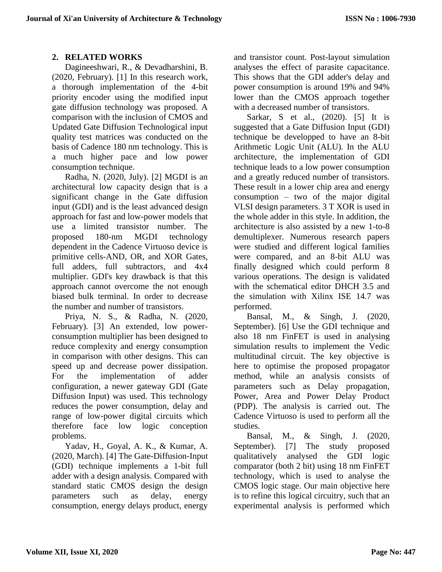# **2. RELATED WORKS**

Dagineeshwari, R., & Devadharshini, B. (2020, February). [1] In this research work, a thorough implementation of the 4-bit priority encoder using the modified input gate diffusion technology was proposed. A comparison with the inclusion of CMOS and Updated Gate Diffusion Technological input quality test matrices was conducted on the basis of Cadence 180 nm technology. This is a much higher pace and low power consumption technique.

Radha, N. (2020, July). [2] MGDI is an architectural low capacity design that is a significant change in the Gate diffusion input (GDI) and is the least advanced design approach for fast and low-power models that use a limited transistor number. The proposed 180-nm MGDI technology dependent in the Cadence Virtuoso device is primitive cells-AND, OR, and XOR Gates, full adders, full subtractors, and 4x4 multiplier. GDI's key drawback is that this approach cannot overcome the not enough biased bulk terminal. In order to decrease the number and number of transistors.

Priya, N. S., & Radha, N. (2020, February). [3] An extended, low powerconsumption multiplier has been designed to reduce complexity and energy consumption in comparison with other designs. This can speed up and decrease power dissipation. For the implementation of adder configuration, a newer gateway GDI (Gate Diffusion Input) was used. This technology reduces the power consumption, delay and range of low-power digital circuits which therefore face low logic conception problems.

Yadav, H., Goyal, A. K., & Kumar, A. (2020, March). [4] The Gate-Diffusion-Input (GDI) technique implements a 1-bit full adder with a design analysis. Compared with standard static CMOS design the design parameters such as delay, energy consumption, energy delays product, energy and transistor count. Post-layout simulation analyses the effect of parasite capacitance. This shows that the GDI adder's delay and power consumption is around 19% and 94% lower than the CMOS approach together with a decreased number of transistors.

Sarkar, S et al., (2020). [5] It is suggested that a Gate Diffusion Input (GDI) technique be developped to have an 8-bit Arithmetic Logic Unit (ALU). In the ALU architecture, the implementation of GDI technique leads to a low power consumption and a greatly reduced number of transistors. These result in a lower chip area and energy consumption – two of the major digital VLSI design parameters. 3 T XOR is used in the whole adder in this style. In addition, the architecture is also assisted by a new 1-to-8 demultiplexer. Numerous research papers were studied and different logical families were compared, and an 8-bit ALU was finally designed which could perform 8 various operations. The design is validated with the schematical editor DHCH 3.5 and the simulation with Xilinx ISE 14.7 was performed.

Bansal, M., & Singh, J. (2020, September). [6] Use the GDI technique and also 18 nm FinFET is used in analysing simulation results to implement the Vedic multitudinal circuit. The key objective is here to optimise the proposed propagator method, while an analysis consists of parameters such as Delay propagation, Power, Area and Power Delay Product (PDP). The analysis is carried out. The Cadence Virtuoso is used to perform all the studies.

Bansal, M., & Singh, J. (2020, September). [7] The study proposed qualitatively analysed the GDI logic comparator (both 2 bit) using 18 nm FinFET technology, which is used to analyse the CMOS logic stage. Our main objective here is to refine this logical circuitry, such that an experimental analysis is performed which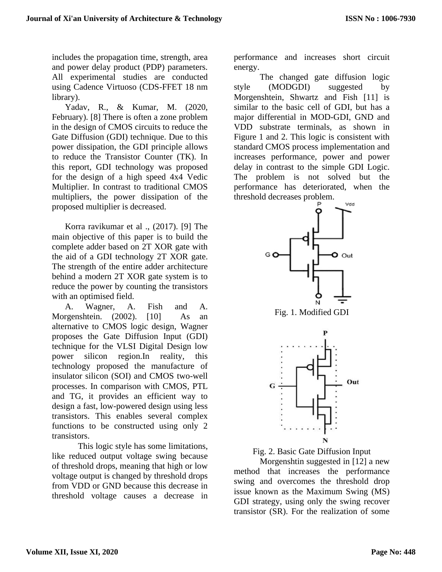includes the propagation time, strength, area and power delay product (PDP) parameters. All experimental studies are conducted using Cadence Virtuoso (CDS-FFET 18 nm library).

Yadav, R., & Kumar, M. (2020, February). [8] There is often a zone problem in the design of CMOS circuits to reduce the Gate Diffusion (GDI) technique. Due to this power dissipation, the GDI principle allows to reduce the Transistor Counter (TK). In this report, GDI technology was proposed for the design of a high speed 4x4 Vedic Multiplier. In contrast to traditional CMOS multipliers, the power dissipation of the proposed multiplier is decreased.

Korra ravikumar et al ., (2017). [9] The main objective of this paper is to build the complete adder based on 2T XOR gate with the aid of a GDI technology 2T XOR gate. The strength of the entire adder architecture behind a modern 2T XOR gate system is to reduce the power by counting the transistors with an optimised field.

A. Wagner, A. Fish and A. Morgenshtein. (2002). [10] As an alternative to CMOS logic design, Wagner proposes the Gate Diffusion Input (GDI) technique for the VLSI Digital Design low power silicon region.In reality, this technology proposed the manufacture of insulator silicon (SOI) and CMOS two-well processes. In comparison with CMOS, PTL and TG, it provides an efficient way to design a fast, low-powered design using less transistors. This enables several complex functions to be constructed using only 2 transistors.

This logic style has some limitations, like reduced output voltage swing because of threshold drops, meaning that high or low voltage output is changed by threshold drops from VDD or GND because this decrease in threshold voltage causes a decrease in performance and increases short circuit energy.

The changed gate diffusion logic style (MODGDI) suggested by Morgenshtein, Shwartz and Fish [11] is similar to the basic cell of GDI, but has a major differential in MOD-GDI, GND and VDD substrate terminals, as shown in Figure 1 and 2. This logic is consistent with standard CMOS process implementation and increases performance, power and power delay in contrast to the simple GDI Logic. The problem is not solved but the performance has deteriorated, when the threshold decreases problem.









Morgenshtin suggested in [12] a new method that increases the performance swing and overcomes the threshold drop issue known as the Maximum Swing (MS) GDI strategy, using only the swing recover transistor (SR). For the realization of some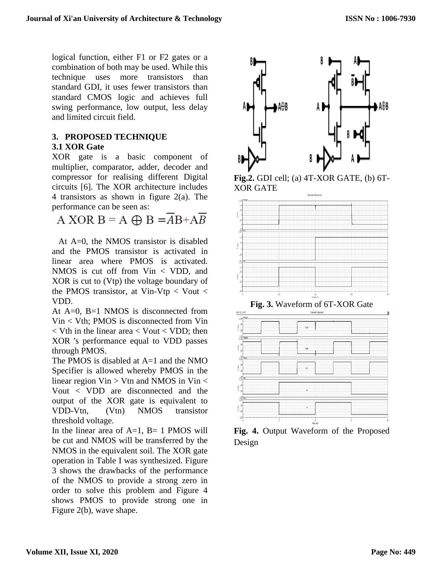logical function, either F1 or F2 gates or a combination of both may be used. While this technique uses more transistors than standard GDI, it uses fewer transistors than standard CMOS logic and achieves full swing performance, low output, less delay and limited circuit field.

#### **3. PROPOSED TECHNIQUE 3.1 XOR Gate**

XOR gate is a basic component of multiplier, comparator, adder, decoder and compressor for realising different Digital circuits [6]. The XOR architecture includes 4 transistors as shown in figure 2(a). The performance can be seen as:

A XOR  $B = A \oplus B = AB + AB$ 

At A=0, the NMOS transistor is disabled and the PMOS transistor is activated in linear area where PMOS is activated. NMOS is cut off from Vin < VDD, and XOR is cut to (Vtp) the voltage boundary of the PMOS transistor, at Vin-Vtp  $<$  Vout  $<$ VDD.

At  $A=0$ ,  $B=1$  NMOS is disconnected from Vin < Vth; PMOS is disconnected from Vin  $\langle$  Vth in the linear area  $\langle$  Vout  $\langle$  VDD; then XOR 's performance equal to VDD passes through PMOS.

The PMOS is disabled at A=1 and the NMO Specifier is allowed whereby PMOS in the linear region  $V$ in > Vtn and NMOS in Vin < Vout < VDD are disconnected and the output of the XOR gate is equivalent to VDD-Vtn, (Vtn) NMOS transistor threshold voltage.

In the linear area of  $A=1$ ,  $B=1$  PMOS will be cut and NMOS will be transferred by the NMOS in the equivalent soil. The XOR gate operation in Table I was synthesized. Figure 3 shows the drawbacks of the performance of the NMOS to provide a strong zero in order to solve this problem and Figure 4 shows PMOS to provide strong one in Figure 2(b), wave shape.



**Fig.2.** GDI cell; (a) 4T-XOR GATE, (b) 6T-XOR GATE





**Fig. 4.** Output Waveform of the Proposed Design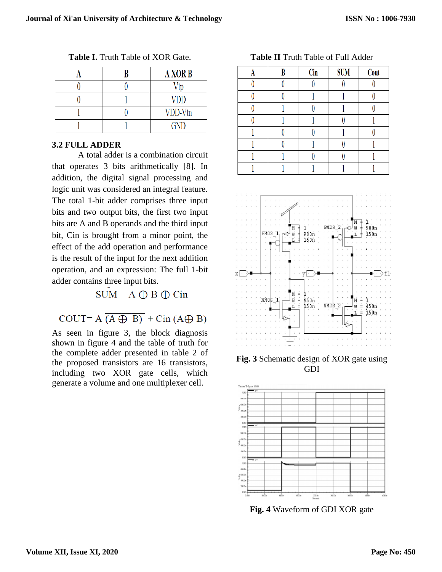|  | <b>A XOR B</b> |  |  |
|--|----------------|--|--|
|  |                |  |  |
|  | VDD            |  |  |
|  | VDD-Vtn        |  |  |
|  | GND)           |  |  |

**Table I.** Truth Table of XOR Gate.

#### **3.2 FULL ADDER**

A total adder is a combination circuit that operates 3 bits arithmetically [8]. In addition, the digital signal processing and logic unit was considered an integral feature. The total 1-bit adder comprises three input bits and two output bits, the first two input bits are A and B operands and the third input bit, Cin is brought from a minor point, the effect of the add operation and performance is the result of the input for the next addition operation, and an expression: The full 1-bit adder contains three input bits.

 $SUM = A \oplus B \oplus Cin$ 

# COUT=  $A \overline{(A \oplus B)} + \text{Cin} (A \oplus B)$

As seen in figure 3, the block diagnosis shown in figure 4 and the table of truth for the complete adder presented in table 2 of the proposed transistors are 16 transistors, including two XOR gate cells, which generate a volume and one multiplexer cell.

B **SUM** A Cin Cout  $\theta$  $\theta$  $\overline{0}$  $\theta$  $\theta$  $\theta$  $\bf{0}$ 1 1  $\theta$  $\theta$ 1  $\overline{0}$ 1  $\overline{0}$  $\overline{0}$  $\overline{0}$ 1 1 1 1  $\theta$  $\theta$ 1  $\theta$ 1  $\mathbf{0}$ 1  $\theta$ 1  $\overline{0}$  $\theta$ 1

**Table II** Truth Table of Full Adder



**Fig. 3** Schematic design of XOR gate using GDI



**Fig. 4** Waveform of GDI XOR gate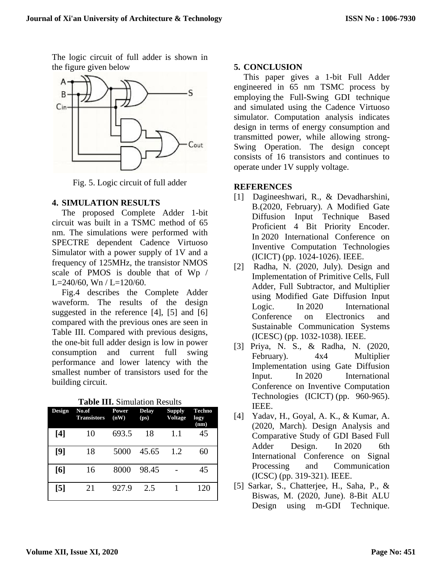The logic circuit of full adder is shown in the figure given below



Fig. 5. Logic circuit of full adder

#### **4. SIMULATION RESULTS**

The proposed Complete Adder 1-bit circuit was built in a TSMC method of 65 nm. The simulations were performed with SPECTRE dependent Cadence Virtuoso Simulator with a power supply of 1V and a frequency of 125MHz, the transistor NMOS scale of PMOS is double that of Wp / L=240/60, Wn / L=120/60.

Fig.4 describes the Complete Adder waveform. The results of the design suggested in the reference [4], [5] and [6] compared with the previous ones are seen in Table III. Compared with previous designs, the one-bit full adder design is low in power consumption and current full swing performance and lower latency with the smallest number of transistors used for the building circuit.

| Design            | No.of<br><b>Transistors</b> | <b>Power</b><br>(nW) | <b>Delay</b><br>(p <sub>S</sub> ) | <b>Supply</b><br><b>Voltage</b> | Techno<br>logy<br>(nm) |
|-------------------|-----------------------------|----------------------|-----------------------------------|---------------------------------|------------------------|
| [4]               | 10                          | 693.5                | 18                                | 1.1                             | 45                     |
| [9]               | 18                          | 5000                 | 45.65                             | 1.2                             | 60                     |
| [6]               | 16                          | 8000                 | 98.45                             |                                 | 45                     |
| $\lceil 5 \rceil$ | 21                          | 927.9                | 2.5                               |                                 | 120                    |

**Table III.** Simulation Results

#### **5. CONCLUSION**

This paper gives a 1-bit Full Adder engineered in 65 nm TSMC process by employing the Full-Swing GDI technique and simulated using the Cadence Virtuoso simulator. Computation analysis indicates design in terms of energy consumption and transmitted power, while allowing strong-Swing Operation. The design concept consists of 16 transistors and continues to operate under 1V supply voltage.

#### **REFERENCES**

- [1] Dagineeshwari, R., & Devadharshini, B.(2020, February). A Modified Gate Diffusion Input Technique Based Proficient 4 Bit Priority Encoder. In 2020 International Conference on Inventive Computation Technologies (ICICT) (pp. 1024-1026). IEEE.
- [2] Radha, N. (2020, July). Design and Implementation of Primitive Cells, Full Adder, Full Subtractor, and Multiplier using Modified Gate Diffusion Input Logic. In 2020 International Conference on Electronics and Sustainable Communication Systems (ICESC) (pp. 1032-1038). IEEE.
- [3] Priya, N. S., & Radha, N. (2020, February).  $4x4$  Multiplier Implementation using Gate Diffusion Input. In 2020 International Conference on Inventive Computation Technologies (ICICT) (pp. 960-965). IEEE.
- [4] Yadav, H., Goyal, A. K., & Kumar, A. (2020, March). Design Analysis and Comparative Study of GDI Based Full Adder Design. In 2020 6th International Conference on Signal Processing and Communication (ICSC) (pp. 319-321). IEEE.
- [5] Sarkar, S., Chatterjee, H., Saha, P., & Biswas, M. (2020, June). 8-Bit ALU Design using m-GDI Technique.